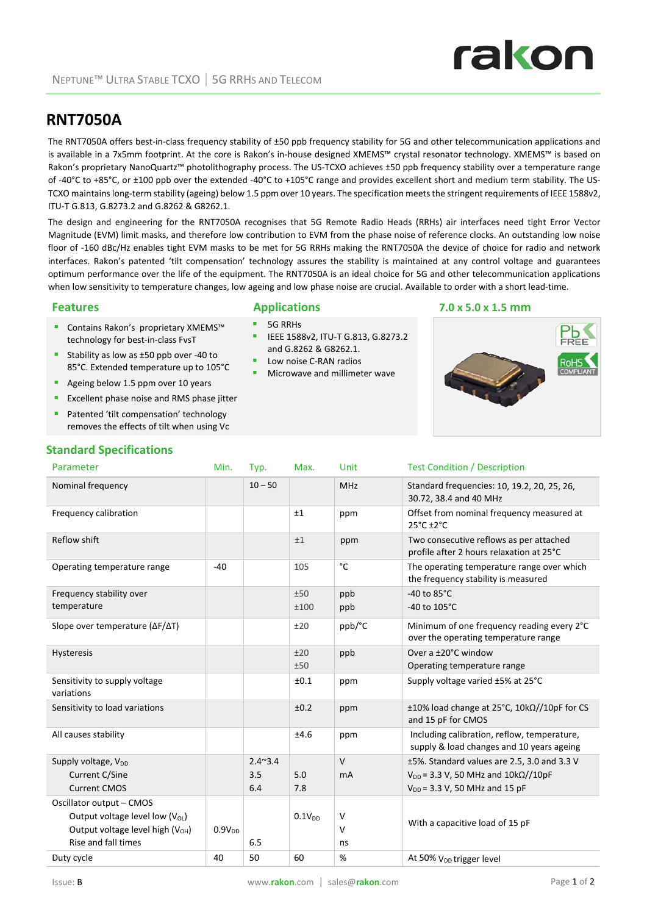### **RNT7050A**

The RNT7050A offers best-in-class frequency stability of ±50 ppb frequency stability for 5G and other telecommunication applications and is available in a 7x5mm footprint. At the core is Rakon's in‐house designed XMEMS™ crystal resonator technology. XMEMS™ is based on Rakon's proprietary NanoQuartz™ photolithography process. The US-TCXO achieves ±50 ppb frequency stability over a temperature range of ‐40°C to +85°C, or ±100 ppb over the extended ‐40°C to +105°C range and provides excellent short and medium term stability. The US‐ TCXO maintains long-term stability (ageing) below 1.5 ppm over 10 years. The specification meets the stringent requirements of IEEE 1588v2, ITU‐T G.813, G.8273.2 and G.8262 & G8262.1.

The design and engineering for the RNT7050A recognises that 5G Remote Radio Heads (RRHs) air interfaces need tight Error Vector Magnitude (EVM) limit masks, and therefore low contribution to EVM from the phase noise of reference clocks. An outstanding low noise floor of ‐160 dBc/Hz enables tight EVM masks to be met for 5G RRHs making the RNT7050A the device of choice for radio and network interfaces. Rakon's patented 'tilt compensation' technology assures the stability is maintained at any control voltage and guarantees optimum performance over the life of the equipment. The RNT7050A is an ideal choice for 5G and other telecommunication applications when low sensitivity to temperature changes, low ageing and low phase noise are crucial. Available to order with a short lead‐time.

IEEE 1588v2, ITU‐T G.813, G.8273.2

Microwave and millimeter wave

and G.8262 & G8262.1. Low noise C‐RAN radios

# 5G RRHs

- Contains Rakon's proprietary XMEMS™ technology for best‐in‐class FvsT
- Stability as low as ±50 ppb over -40 to 85°C. Extended temperature up to 105°C
- Ageing below 1.5 ppm over 10 years
- **EXCELLENT PHASE NOISE AND PHASE SET** EXCELLENT **EXCELLENT**
- Patented 'tilt compensation' technology removes the effects of tilt when using Vc

#### **Standard Specifications** Parameter **Min.** Typ. Max. Unit Test Condition / Description Nominal frequency 10 – 50 MHz Standard frequencies: 10, 19.2, 20, 25, 26, 19.2, 20, 25, 26, 30.72, 38.4 and 40 MHz Frequency calibration **by The Contract Contract Automobility** of the ppm **Offset from nominal frequency measured at** 25°C ±2°C Reflow shift  $\begin{array}{ccc} 1 & 1 & 1 \end{array}$  ppm Two consecutive reflows as per attached profile after 2 hours relaxation at 25°C Operating temperature range  $\begin{array}{ccc} -40 & | & 105 & | & c \end{array}$  The operating temperature range over which the frequency stability is measured Frequency stability over temperature  $+50$ ±100 ppb ppb ‐40 to 85°C ‐40 to 105°C Slope over temperature (ΔF/ΔT) ±20 ppb/°C Minimum of one frequency reading every 2°C over the operating temperature range Hysteresis  $\pm 20$ ±50 ppb Over a ±20°C window Operating temperature range Sensitivity to supply voltage variations ±0.1 ppm Supply voltage varied ±5% at 25°C Sensitivity to load variations  $\pm 0.2$  ppm  $\pm 10\%$  load change at 25°C, 10kΩ//10pF for CS and 15 pF for CMOS All causes stability **EXECUTE:** The stability the state of the state of the state of the state of the state of the state of the state of the state of the state of the state of the state of the state of the state of the sta supply & load changes and 10 years ageing Supply voltage, V<sub>DD</sub> Current C/Sine Current CMOS 2.4~3.4 3.5 6.4 5.0 7.8  $\overline{V}$ mA ±5%. Standard values are 2.5, 3.0 and 3.3 V  $V_{DD}$  = 3.3 V, 50 MHz and 10k $\Omega$ //10pF  $V_{DD}$  = 3.3 V, 50 MHz and 15 pF Oscillator output – CMOS

 $0.1V_{DD}$  V

 $\overline{V}$ ns

Output voltage level high  $(V<sub>OH</sub>)$ 

Rise and fall times

#### **Features Applications 7.0 x 5.0 x 1.5 mm**



#### Output voltage level low  $(V_{OL})$

 $0.9V<sub>DD</sub>$ 

6.5

Duty cycle  $40$  50  $60$  % At 50% V<sub>DD</sub> trigger level

## With a capacitive load of 15 pF